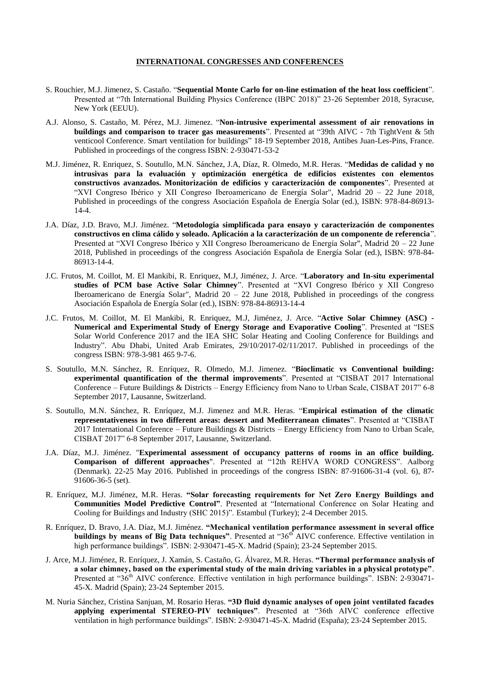## **INTERNATIONAL CONGRESSES AND CONFERENCES**

- S. Rouchier, M.J. Jimenez, S. Castaño. "**Sequential Monte Carlo for on-line estimation of the heat loss coefficient**". Presented at "7th International Building Physics Conference (IBPC 2018)" 23-26 September 2018, Syracuse, New York (EEUU).
- A.J. Alonso, S. Castaño, M. Pérez, M.J. Jimenez. "**Non-intrusive experimental assessment of air renovations in buildings and comparison to tracer gas measurements**". Presented at "39th AIVC - 7th TightVent & 5th venticool Conference. Smart ventilation for buildings" 18-19 September 2018, Antibes Juan-Les-Pins, France. Published in proceedings of the congress ISBN: 2-930471-53-2
- M.J. Jiménez, R. Enriquez, S. Soutullo, M.N. Sánchez, J.A, Díaz, R. Olmedo, M.R. Heras. "**Medidas de calidad y no intrusivas para la evaluación y optimización energética de edificios existentes con elementos constructivos avanzados. Monitorización de edificios y caracterización de componentes**". Presented at "XVI Congreso Ibérico y XII Congreso Iberoamericano de Energía Solar", Madrid 20 – 22 June 2018, Published in proceedings of the congress Asociación Española de Energía Solar (ed.), ISBN: 978-84-86913- 14-4.
- J.A. Díaz, J.D. Bravo, M.J. Jiménez. "**Metodología simplificada para ensayo y caracterización de componentes constructivos en clima cálido y soleado. Aplicación a la caracterización de un componente de referencia**". Presented at "XVI Congreso Ibérico y XII Congreso Iberoamericano de Energía Solar", Madrid 20 – 22 June 2018, Published in proceedings of the congress Asociación Española de Energía Solar (ed.), ISBN: 978-84- 86913-14-4.
- J.C. Frutos, M. Coillot, M. El Mankibi, R. Enriquez, M.J, Jiménez, J. Arce. "**Laboratory and In-situ experimental studies of PCM base Active Solar Chimney**". Presented at "XVI Congreso Ibérico y XII Congreso Iberoamericano de Energía Solar", Madrid 20 – 22 June 2018, Published in proceedings of the congress Asociación Española de Energía Solar (ed.), ISBN: 978-84-86913-14-4
- J.C. Frutos, M. Coillot, M. El Mankibi, R. Enriquez, M.J, Jiménez, J. Arce. "**Active Solar Chimney (ASC) - Numerical and Experimental Study of Energy Storage and Evaporative Cooling**". Presented at "ISES Solar World Conference 2017 and the IEA SHC Solar Heating and Cooling Conference for Buildings and Industry". Abu Dhabi, United Arab Emirates, 29/10/2017-02/11/2017. Published in proceedings of the congress ISBN: 978-3-981 465 9-7-6.
- S. Soutullo, M.N. Sánchez, R. Enríquez, R. Olmedo, M.J. Jimenez. "**Bioclimatic vs Conventional building: experimental quantification of the thermal improvements**". Presented at "CISBAT 2017 International Conference – Future Buildings & Districts – Energy Efficiency from Nano to Urban Scale, CISBAT 2017" 6-8 September 2017, Lausanne, Switzerland.
- S. Soutullo, M.N. Sánchez, R. Enríquez, M.J. Jimenez and M.R. Heras. "**Empirical estimation of the climatic representativeness in two different areas: dessert and Mediterranean climates**". Presented at "CISBAT 2017 International Conference – Future Buildings & Districts – Energy Efficiency from Nano to Urban Scale, CISBAT 2017" 6-8 September 2017, Lausanne, Switzerland.
- J.A. Díaz, M.J. Jiménez. "**Experimental assessment of occupancy patterns of rooms in an office building. Comparison of different approaches**". Presented at "12th REHVA WORD CONGRESS". Aalborg (Denmark). 22-25 May 2016. Published in proceedings of the congress ISBN: 87-91606-31-4 (vol. 6), 87- 91606-36-5 (set).
- R. Enríquez, M.J. Jiménez, M.R. Heras. **"Solar forecasting requirements for Net Zero Energy Buildings and Communities Model Predictive Control"**. Presented at "International Conference on Solar Heating and Cooling for Buildings and Industry (SHC 2015)". Estambul (Turkey); 2-4 December 2015.
- R. Enríquez, D. Bravo, J.A. Díaz, M.J. Jiménez. **"Mechanical ventilation performance assessment in several office buildings by means of Big Data techniques"**. Presented at "36<sup>th</sup> AIVC conference. Effective ventilation in high performance buildings". ISBN: 2-930471-45-X. Madrid (Spain); 23-24 September 2015.
- J. Arce, M.J. Jiménez, R. Enríquez, J. Xamán, S. Castaño, G. Álvarez, M.R. Heras. **"Thermal performance analysis of a solar chimney, based on the experimental study of the main driving variables in a physical prototype"**. Presented at "36<sup>th</sup> AIVC conference. Effective ventilation in high performance buildings". ISBN: 2-930471-45-X. Madrid (Spain); 23-24 September 2015.
- M. Nuria Sánchez, Cristina Sanjuan, M. Rosario Heras. **"3D fluid dynamic analyses of open joint ventilated facades applying experimental STEREO-PIV techniques"**. Presented at "36th AIVC conference effective ventilation in high performance buildings". ISBN: 2-930471-45-X. Madrid (España); 23-24 September 2015.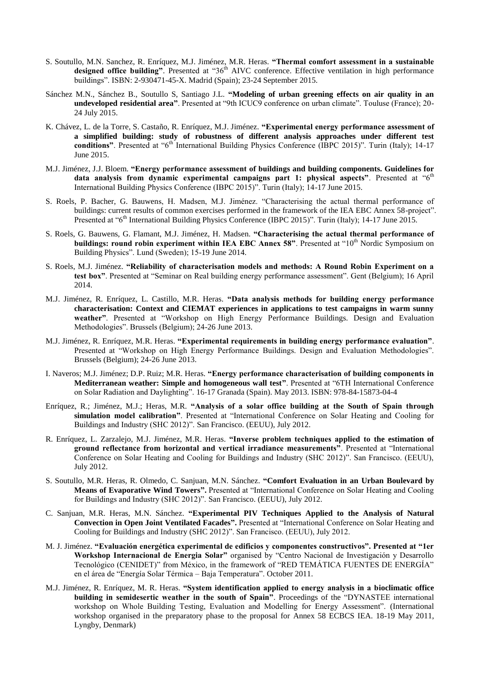- S. Soutullo, M.N. Sanchez, R. Enríquez, M.J. Jiménez, M.R. Heras. **"Thermal comfort assessment in a sustainable**  designed office building". Presented at "36<sup>th</sup> AIVC conference. Effective ventilation in high performance buildings". ISBN: 2-930471-45-X. Madrid (Spain); 23-24 September 2015.
- Sánchez M.N., Sánchez B., Soutullo S, Santiago J.L. **"Modeling of urban greening effects on air quality in an undeveloped residential area"**. Presented at "9th ICUC9 conference on urban climate". Touluse (France); 20- 24 July 2015.
- K. Chávez, L. de la Torre, S. Castaño, R. Enríquez, M.J. Jiménez. **"Experimental energy performance assessment of a simplified building: study of robustness of different analysis approaches under different test conditions"**. Presented at "6<sup>th</sup> International Building Physics Conference (IBPC 2015)". Turin (Italy); 14-17 June 2015.
- M.J. Jiménez, J.J. Bloem. **"Energy performance assessment of buildings and building components. Guidelines for data analysis from dynamic experimental campaigns part 1: physical aspects".** Presented at "6<sup>th</sup> International Building Physics Conference (IBPC 2015)". Turin (Italy); 14-17 June 2015.
- S. Roels, P. Bacher, G. Bauwens, H. Madsen, M.J. Jiménez. "Characterising the actual thermal performance of buildings: current results of common exercises performed in the framework of the IEA EBC Annex 58-project". Presented at "6<sup>th</sup> International Building Physics Conference (IBPC 2015)". Turin (Italy); 14-17 June 2015.
- S. Roels, G. Bauwens, G. Flamant, M.J. Jiménez, H. Madsen. **"Characterising the actual thermal performance of buildings: round robin experiment within IEA EBC Annex 58".** Presented at "10<sup>th</sup> Nordic Symposium on Building Physics". Lund (Sweden); 15-19 June 2014.
- S. Roels, M.J. Jiménez. **"Reliability of characterisation models and methods: A Round Robin Experiment on a test box"**. Presented at "Seminar on Real building energy performance assessment". Gent (Belgium); 16 April 2014.
- M.J. Jiménez, R. Enríquez, L. Castillo, M.R. Heras. **"Data analysis methods for building energy performance characterisation: Context and CIEMAT experiences in applications to test campaigns in warm sunny weather"**. Presented at "Workshop on High Energy Performance Buildings. Design and Evaluation Methodologies". Brussels (Belgium); 24-26 June 2013.
- M.J. Jiménez, R. Enríquez, M.R. Heras. **"Experimental requirements in building energy performance evaluation"**. Presented at "Workshop on High Energy Performance Buildings. Design and Evaluation Methodologies". Brussels (Belgium); 24-26 June 2013.
- I. Naveros; M.J. Jiménez; D.P. Ruiz; M.R. Heras. **"Energy performance characterisation of building components in Mediterranean weather: Simple and homogeneous wall test"**. Presented at "6TH International Conference on Solar Radiation and Daylighting". 16-17 Granada (Spain). May 2013. ISBN: 978-84-15873-04-4
- Enríquez, R.; Jiménez, M.J.; Heras, M.R. **"Analysis of a solar office building at the South of Spain through simulation model calibration"**. Presented at "International Conference on Solar Heating and Cooling for Buildings and Industry (SHC 2012)". San Francisco. (EEUU), July 2012.
- R. Enríquez, L. Zarzalejo, M.J. Jiménez, M.R. Heras. **"Inverse problem techniques applied to the estimation of ground reflectance from horizontal and vertical irradiance measurements"**. Presented at "International Conference on Solar Heating and Cooling for Buildings and Industry (SHC 2012)". San Francisco. (EEUU), July 2012.
- S. Soutullo, M.R. Heras, R. Olmedo, C. Sanjuan, M.N. Sánchez. **"Comfort Evaluation in an Urban Boulevard by Means of Evaporative Wind Towers".** Presented at "International Conference on Solar Heating and Cooling for Buildings and Industry (SHC 2012)". San Francisco. (EEUU), July 2012.
- C. Sanjuan, M.R. Heras, M.N. Sánchez. **"Experimental PIV Techniques Applied to the Analysis of Natural Convection in Open Joint Ventilated Facades".** Presented at "International Conference on Solar Heating and Cooling for Buildings and Industry (SHC 2012)". San Francisco. (EEUU), July 2012.
- M. J. Jiménez. **"Evaluación energética experimental de edificios y componentes constructivos". Presented at "1er Workshop Internacional de Energia Solar"** organised by "Centro Nacional de Investigación y Desarrollo Tecnológico (CENIDET)" from México, in the framework of "RED TEMÁTICA FUENTES DE ENERGÍA" en el área de "Energía Solar Térmica – Baja Temperatura". October 2011.
- M.J. Jiménez, R. Enríquez, M. R. Heras. **"System identification applied to energy analysis in a bioclimatic office building in semidesertic weather in the south of Spain"**. Proceedings of the "DYNASTEE international workshop on Whole Building Testing, Evaluation and Modelling for Energy Assessment". (International workshop organised in the preparatory phase to the proposal for Annex 58 ECBCS IEA. 18-19 May 2011, Lyngby, Denmark)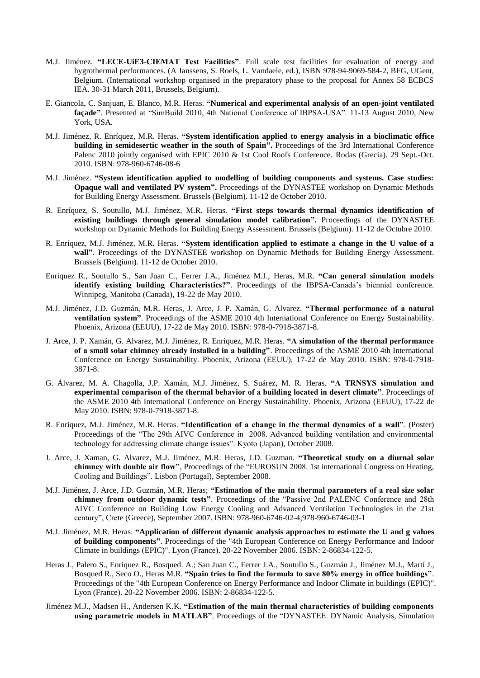- M.J. Jiménez. **"LECE-UiE3-CIEMAT Test Facilities"**. Full scale test facilities for evaluation of energy and hygrothermal performances. (A Janssens, S. Roels, L. Vandaele, ed.), ISBN 978-94-9069-584-2, BFG, UGent, Belgium. (International workshop organised in the preparatory phase to the proposal for Annex 58 ECBCS IEA. 30-31 March 2011, Brussels, Belgium).
- E. Giancola, C. Sanjuan, E. Blanco, M.R. Heras. **"Numerical and experimental analysis of an open-joint ventilated façade"**. Presented at "SimBuild 2010, 4th National Conference of IBPSA-USA". 11-13 August 2010, New York, USA.
- M.J. Jiménez, R. Enríquez, M.R. Heras. **"System identification applied to energy analysis in a bioclimatic office building in semidesertic weather in the south of Spain".** Proceedings of the 3rd International Conference Palenc 2010 jointly organised with EPIC 2010 & 1st Cool Roofs Conference. Rodas (Grecia). 29 Sept.-Oct. 2010. ISBN: 978-960-6746-08-6
- M.J. Jiménez. **"System identification applied to modelling of building components and systems. Case studies: Opaque wall and ventilated PV system".** Proceedings of the DYNASTEE workshop on Dynamic Methods for Building Energy Assessment. Brussels (Belgium). 11-12 de October 2010.
- R. Enríquez, S. Soutullo, M.J. Jiménez, M.R. Heras. **"First steps towards thermal dynamics identification of existing buildings through general simulation model calibration".** Proceedings of the DYNASTEE workshop on Dynamic Methods for Building Energy Assessment. Brussels (Belgium). 11-12 de Octubre 2010.
- R. Enríquez, M.J. Jiménez, M.R. Heras. **"System identification applied to estimate a change in the U value of a wall"**. Proceedings of the DYNASTEE workshop on Dynamic Methods for Building Energy Assessment. Brussels (Belgium). 11-12 de October 2010.
- Enriquez R., Soutullo S., San Juan C., Ferrer J.A., Jiménez M.J., Heras, M.R. **"Can general simulation models identify existing building Characteristics?"**. Proceedings of the IBPSA-Canada's biennial conference. Winnipeg, Manitoba (Canada), 19-22 de May 2010.
- M.J. Jiménez, J.D. Guzmán, M.R. Heras, J. Arce, J. P. Xamán, G. Alvarez. **"Thermal performance of a natural ventilation system"**. Proceedings of the ASME 2010 4th International Conference on Energy Sustainability. Phoenix, Arizona (EEUU), 17-22 de May 2010. ISBN: 978-0-7918-3871-8.
- J. Arce, J. P. Xamán, G. Alvarez, M.J. Jiménez, R. Enríquez, M.R. Heras. **"A simulation of the thermal performance of a small solar chimney already installed in a building"**. Proceedings of the ASME 2010 4th International Conference on Energy Sustainability. Phoenix, Arizona (EEUU), 17-22 de May 2010. ISBN: 978-0-7918- 3871-8.
- G. Álvarez, M. A. Chagolla, J.P. Xamán, M.J. Jiménez, S. Suárez, M. R. Heras. **"A TRNSYS simulation and experimental comparison of the thermal behavior of a building located in desert climate"**. Proceedings of the ASME 2010 4th International Conference on Energy Sustainability. Phoenix, Arizona (EEUU), 17-22 de May 2010. ISBN: 978-0-7918-3871-8.
- R. Enriquez, M.J. Jiménez, M.R. Heras. **"Identification of a change in the thermal dynamics of a wall"**. (Poster) Proceedings of the "The 29th AIVC Conference in 2008. Advanced building ventilation and environmental technology for addressing climate change issues". Kyoto (Japan), October 2008.
- J. Arce, J. Xaman, G. Alvarez, M.J. Jiménez, M.R. Heras, J.D. Guzman. **"Theoretical study on a diurnal solar chimney with double air flow"**, Proceedings of the "EUROSUN 2008. 1st international Congress on Heating, Cooling and Buildings". Lisbon (Portugal), September 2008.
- M.J. Jiménez, J. Arce, J.D. Guzmán, M.R. Heras; **"Estimation of the main thermal parameters of a real size solar chimney from outdoor dynamic tests"**. Proceedings of the "Passive 2nd PALENC Conference and 28th AIVC Conference on Building Low Energy Cooling and Advanced Ventilation Technologies in the 21st century", Crete (Greece), September 2007. ISBN: 978-960-6746-02-4;978-960-6746-03-1
- M.J. Jiménez, M.R. Heras. **"Application of different dynamic analysis approaches to estimate the U and g values of building components"**. Proceedings of the "4th European Conference on Energy Performance and Indoor Climate in buildings (EPIC)". Lyon (France). 20-22 November 2006. ISBN: 2-86834-122-5.
- Heras J., Palero S., Enríquez R., Bosqued. A.; San Juan C., Ferrer J.A., Soutullo S., Guzmán J., Jiménez M.J., Martí J., Bosqued R., Seco O., Heras M.R. **"Spain tries to find the formula to save 80% energy in office buildings"**. Proceedings of the "4th European Conference on Energy Performance and Indoor Climate in buildings (EPIC)". Lyon (France). 20-22 November 2006. ISBN: 2-86834-122-5.
- Jiménez M.J., Madsen H., Andersen K.K. **"Estimation of the main thermal characteristics of building components using parametric models in MATLAB"**. Proceedings of the "DYNASTEE. DYNamic Analysis, Simulation